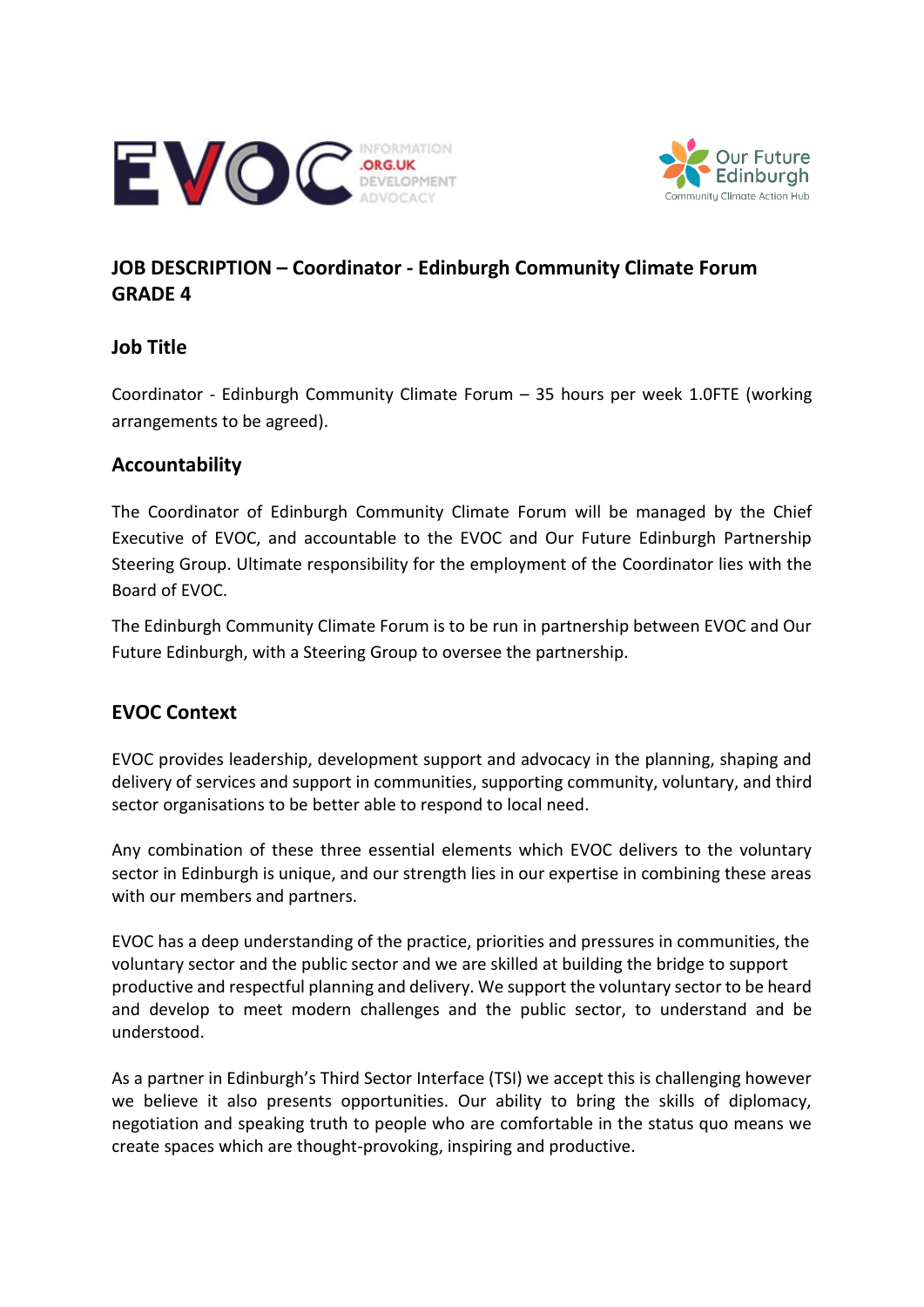



# **JOB DESCRIPTION – Coordinator - Edinburgh Community Climate Forum GRADE 4**

### **Job Title**

Coordinator - Edinburgh Community Climate Forum – 35 hours per week 1.0FTE (working arrangements to be agreed).

### **Accountability**

The Coordinator of Edinburgh Community Climate Forum will be managed by the Chief Executive of EVOC, and accountable to the EVOC and Our Future Edinburgh Partnership Steering Group. Ultimate responsibility for the employment of the Coordinator lies with the Board of EVOC.

The Edinburgh Community Climate Forum is to be run in partnership between EVOC and Our Future Edinburgh, with a Steering Group to oversee the partnership.

### **EVOC Context**

EVOC provides leadership, development support and advocacy in the planning, shaping and delivery of services and support in communities, supporting community, voluntary, and third sector organisations to be better able to respond to local need.

Any combination of these three essential elements which EVOC delivers to the voluntary sector in Edinburgh is unique, and our strength lies in our expertise in combining these areas with our members and partners.

EVOC has a deep understanding of the practice, priorities and pressures in communities, the voluntary sector and the public sector and we are skilled at building the bridge to support productive and respectful planning and delivery. We support the voluntary sector to be heard and develop to meet modern challenges and the public sector, to understand and be understood.

As a partner in Edinburgh's Third Sector Interface (TSI) we accept this is challenging however we believe it also presents opportunities. Our ability to bring the skills of diplomacy, negotiation and speaking truth to people who are comfortable in the status quo means we create spaces which are thought-provoking, inspiring and productive.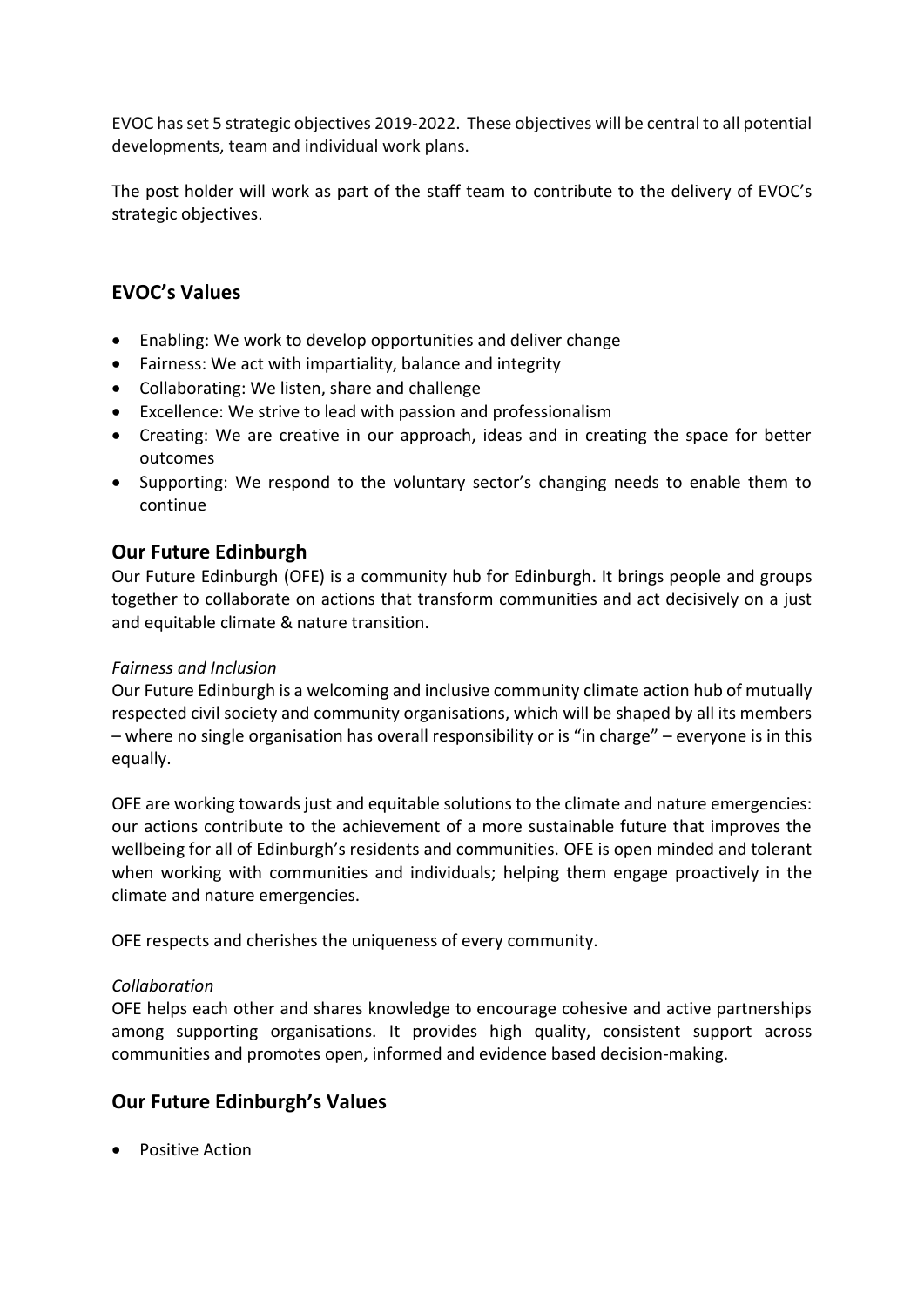EVOC hasset 5 strategic objectives 2019-2022. These objectives will be central to all potential developments, team and individual work plans.

The post holder will work as part of the staff team to contribute to the delivery of EVOC's strategic objectives.

# **EVOC's Values**

- Enabling: We work to develop opportunities and deliver change
- Fairness: We act with impartiality, balance and integrity
- Collaborating: We listen, share and challenge
- Excellence: We strive to lead with passion and professionalism
- Creating: We are creative in our approach, ideas and in creating the space for better outcomes
- Supporting: We respond to the voluntary sector's changing needs to enable them to continue

### **Our Future Edinburgh**

Our Future Edinburgh (OFE) is a community hub for Edinburgh. It brings people and groups together to collaborate on actions that transform communities and act decisively on a just and equitable climate & nature transition.

#### *Fairness and Inclusion*

Our Future Edinburgh is a welcoming and inclusive community climate action hub of mutually respected civil society and community organisations, which will be shaped by all its members – where no single organisation has overall responsibility or is "in charge" – everyone is in this equally.

OFE are working towards just and equitable solutions to the climate and nature emergencies: our actions contribute to the achievement of a more sustainable future that improves the wellbeing for all of Edinburgh's residents and communities. OFE is open minded and tolerant when working with communities and individuals; helping them engage proactively in the climate and nature emergencies.

OFE respects and cherishes the uniqueness of every community.

#### *Collaboration*

OFE helps each other and shares knowledge to encourage cohesive and active partnerships among supporting organisations. It provides high quality, consistent support across communities and promotes open, informed and evidence based decision-making.

### **Our Future Edinburgh's Values**

• Positive Action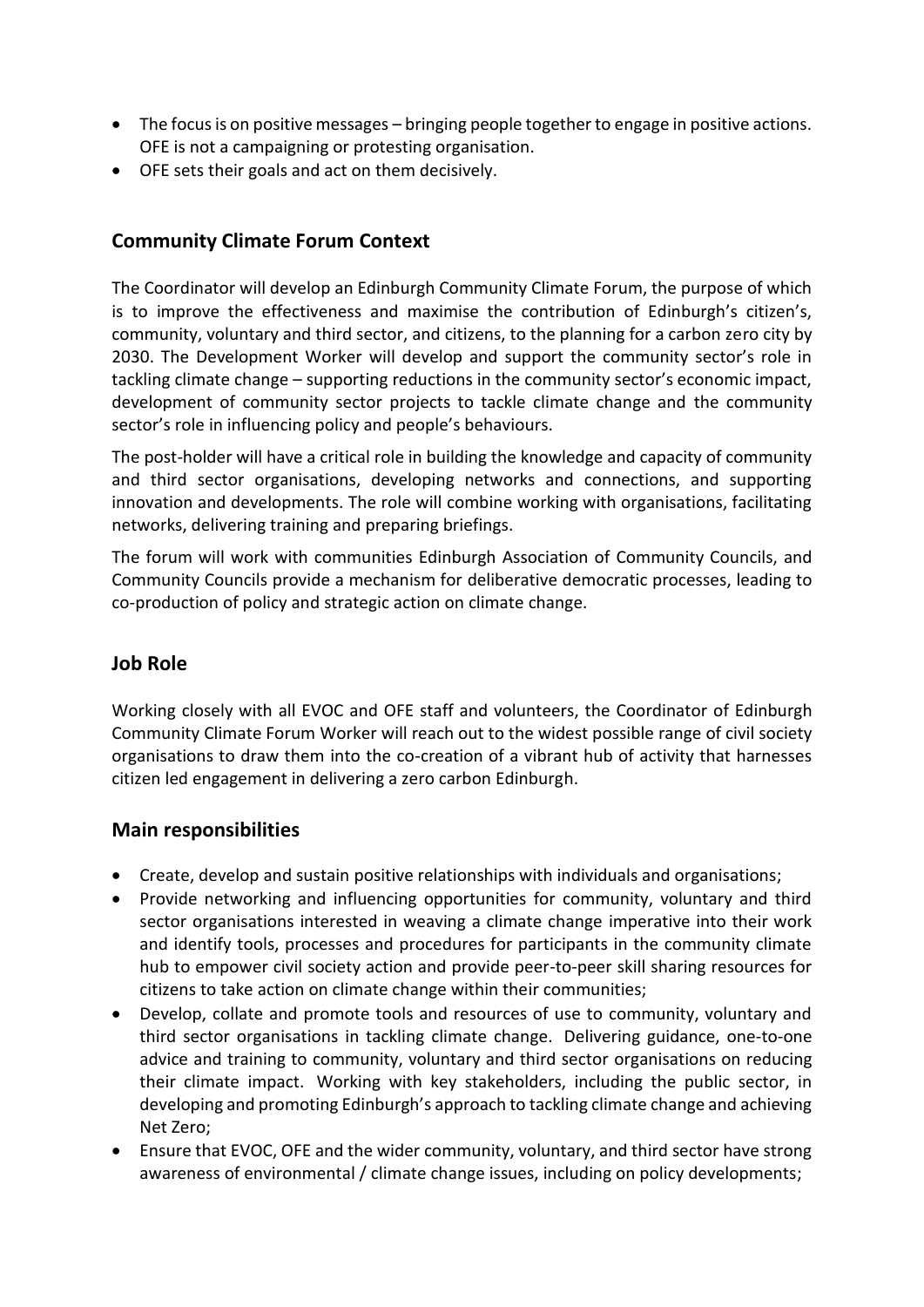- The focus is on positive messages bringing people together to engage in positive actions. OFE is not a campaigning or protesting organisation.
- OFE sets their goals and act on them decisively.

# **Community Climate Forum Context**

The Coordinator will develop an Edinburgh Community Climate Forum, the purpose of which is to improve the effectiveness and maximise the contribution of Edinburgh's citizen's, community, voluntary and third sector, and citizens, to the planning for a carbon zero city by 2030. The Development Worker will develop and support the community sector's role in tackling climate change – supporting reductions in the community sector's economic impact, development of community sector projects to tackle climate change and the community sector's role in influencing policy and people's behaviours.

The post-holder will have a critical role in building the knowledge and capacity of community and third sector organisations, developing networks and connections, and supporting innovation and developments. The role will combine working with organisations, facilitating networks, delivering training and preparing briefings.

The forum will work with communities Edinburgh Association of Community Councils, and Community Councils provide a mechanism for deliberative democratic processes, leading to co-production of policy and strategic action on climate change.

### **Job Role**

Working closely with all EVOC and OFE staff and volunteers, the Coordinator of Edinburgh Community Climate Forum Worker will reach out to the widest possible range of civil society organisations to draw them into the co-creation of a vibrant hub of activity that harnesses citizen led engagement in delivering a zero carbon Edinburgh.

### **Main responsibilities**

- Create, develop and sustain positive relationships with individuals and organisations;
- Provide networking and influencing opportunities for community, voluntary and third sector organisations interested in weaving a climate change imperative into their work and identify tools, processes and procedures for participants in the community climate hub to empower civil society action and provide peer-to-peer skill sharing resources for citizens to take action on climate change within their communities;
- Develop, collate and promote tools and resources of use to community, voluntary and third sector organisations in tackling climate change. Delivering guidance, one-to-one advice and training to community, voluntary and third sector organisations on reducing their climate impact. Working with key stakeholders, including the public sector, in developing and promoting Edinburgh's approach to tackling climate change and achieving Net Zero;
- Ensure that EVOC, OFE and the wider community, voluntary, and third sector have strong awareness of environmental / climate change issues, including on policy developments;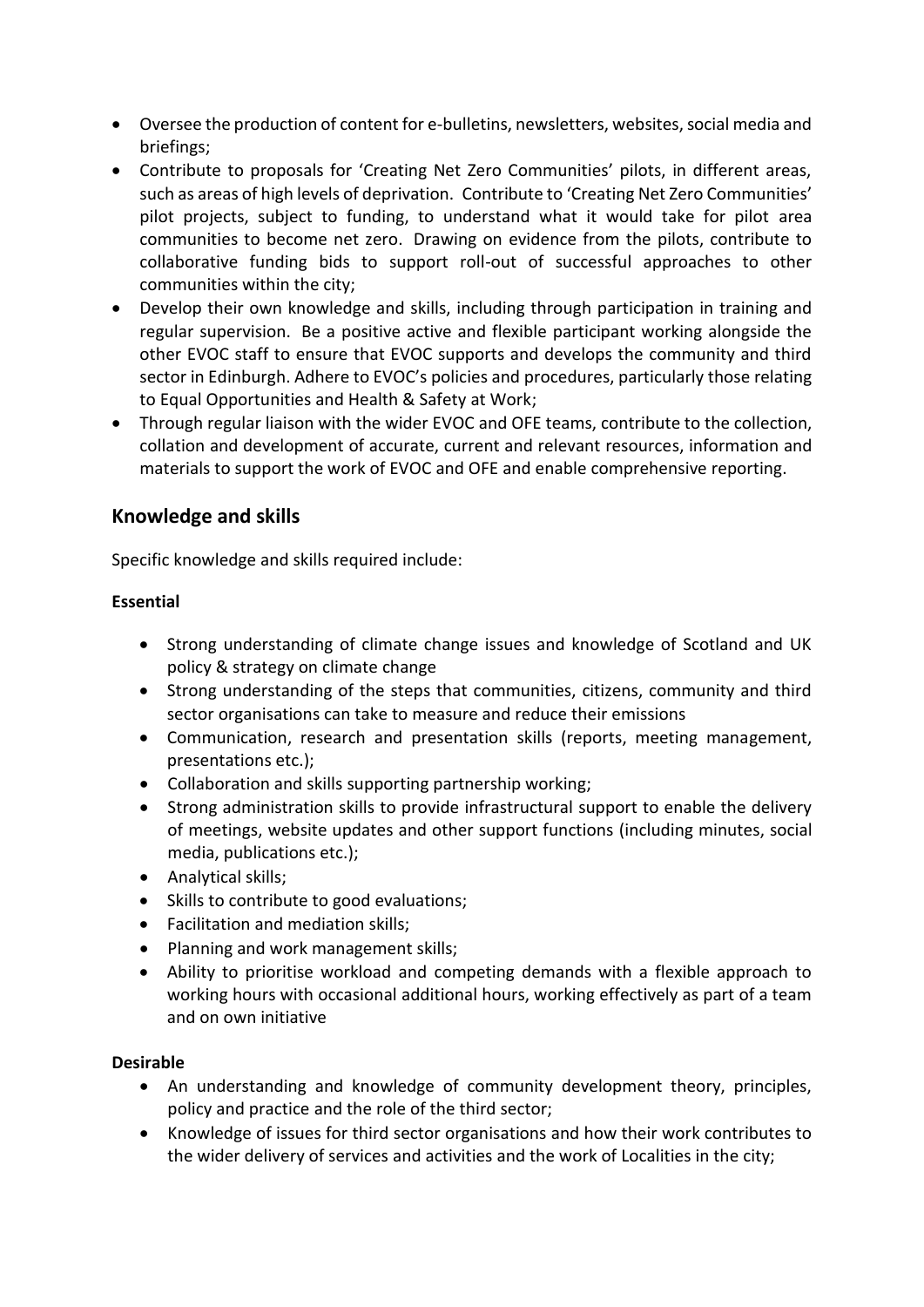- Oversee the production of content for e-bulletins, newsletters, websites, social media and briefings;
- Contribute to proposals for 'Creating Net Zero Communities' pilots, in different areas, such as areas of high levels of deprivation. Contribute to 'Creating Net Zero Communities' pilot projects, subject to funding, to understand what it would take for pilot area communities to become net zero. Drawing on evidence from the pilots, contribute to collaborative funding bids to support roll-out of successful approaches to other communities within the city;
- Develop their own knowledge and skills, including through participation in training and regular supervision. Be a positive active and flexible participant working alongside the other EVOC staff to ensure that EVOC supports and develops the community and third sector in Edinburgh. Adhere to EVOC's policies and procedures, particularly those relating to Equal Opportunities and Health & Safety at Work;
- Through regular liaison with the wider EVOC and OFE teams, contribute to the collection, collation and development of accurate, current and relevant resources, information and materials to support the work of EVOC and OFE and enable comprehensive reporting.

# **Knowledge and skills**

Specific knowledge and skills required include:

#### **Essential**

- Strong understanding of climate change issues and knowledge of Scotland and UK policy & strategy on climate change
- Strong understanding of the steps that communities, citizens, community and third sector organisations can take to measure and reduce their emissions
- Communication, research and presentation skills (reports, meeting management, presentations etc.);
- Collaboration and skills supporting partnership working;
- Strong administration skills to provide infrastructural support to enable the delivery of meetings, website updates and other support functions (including minutes, social media, publications etc.);
- Analytical skills;
- Skills to contribute to good evaluations;
- Facilitation and mediation skills;
- Planning and work management skills;
- Ability to prioritise workload and competing demands with a flexible approach to working hours with occasional additional hours, working effectively as part of a team and on own initiative

#### **Desirable**

- An understanding and knowledge of community development theory, principles, policy and practice and the role of the third sector;
- Knowledge of issues for third sector organisations and how their work contributes to the wider delivery of services and activities and the work of Localities in the city;